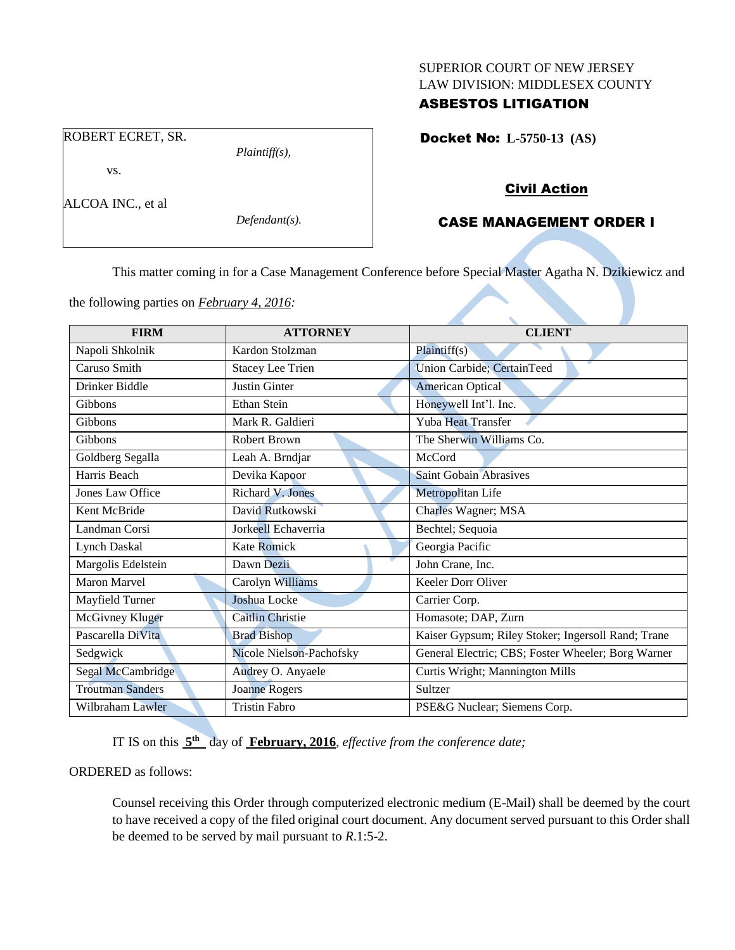#### SUPERIOR COURT OF NEW JERSEY LAW DIVISION: MIDDLESEX COUNTY

## ASBESTOS LITIGATION

Docket No: **L-5750-13 (AS)** 

# Civil Action

## CASE MANAGEMENT ORDER I

This matter coming in for a Case Management Conference before Special Master Agatha N. Dzikiewicz and

the following parties on *February 4, 2016:*

| <b>FIRM</b>             | <b>ATTORNEY</b>          | <b>CLIENT</b>                                      |
|-------------------------|--------------------------|----------------------------------------------------|
| Napoli Shkolnik         | Kardon Stolzman          | Plaintiff(s)                                       |
| Caruso Smith            | <b>Stacey Lee Trien</b>  | Union Carbide; CertainTeed                         |
| Drinker Biddle          | <b>Justin Ginter</b>     | <b>American Optical</b>                            |
| Gibbons                 | Ethan Stein              | Honeywell Int'l. Inc.                              |
| Gibbons                 | Mark R. Galdieri         | <b>Yuba Heat Transfer</b>                          |
| Gibbons                 | <b>Robert Brown</b>      | The Sherwin Williams Co.                           |
| Goldberg Segalla        | Leah A. Brndjar          | McCord                                             |
| Harris Beach            | Devika Kapoor            | <b>Saint Gobain Abrasives</b>                      |
| Jones Law Office        | Richard V. Jones         | Metropolitan Life                                  |
| Kent McBride            | David Rutkowski          | <b>Charles Wagner; MSA</b>                         |
| Landman Corsi           | Jorkeell Echaverria      | Bechtel; Sequoia                                   |
| Lynch Daskal            | <b>Kate Romick</b>       | Georgia Pacific                                    |
| Margolis Edelstein      | Dawn Dezii               | John Crane, Inc.                                   |
| Maron Marvel            | Carolyn Williams         | Keeler Dorr Oliver                                 |
| Mayfield Turner         | Joshua Locke             | Carrier Corp.                                      |
| McGivney Kluger         | <b>Caitlin Christie</b>  | Homasote; DAP, Zurn                                |
| Pascarella DiVita       | <b>Brad Bishop</b>       | Kaiser Gypsum; Riley Stoker; Ingersoll Rand; Trane |
| Sedgwick                | Nicole Nielson-Pachofsky | General Electric; CBS; Foster Wheeler; Borg Warner |
| Segal McCambridge       | Audrey O. Anyaele        | Curtis Wright; Mannington Mills                    |
| <b>Troutman Sanders</b> | <b>Joanne Rogers</b>     | Sultzer                                            |
| Wilbraham Lawler        | <b>Tristin Fabro</b>     | PSE&G Nuclear; Siemens Corp.                       |

IT IS on this  $5<sup>th</sup>$  day of **February, 2016**, *effective from the conference date*;

ORDERED as follows:

Counsel receiving this Order through computerized electronic medium (E-Mail) shall be deemed by the court to have received a copy of the filed original court document. Any document served pursuant to this Order shall be deemed to be served by mail pursuant to *R*.1:5-2.

ROBERT ECRET, SR.

vs.

ALCOA INC., et al

*Defendant(s).*

*Plaintiff(s),*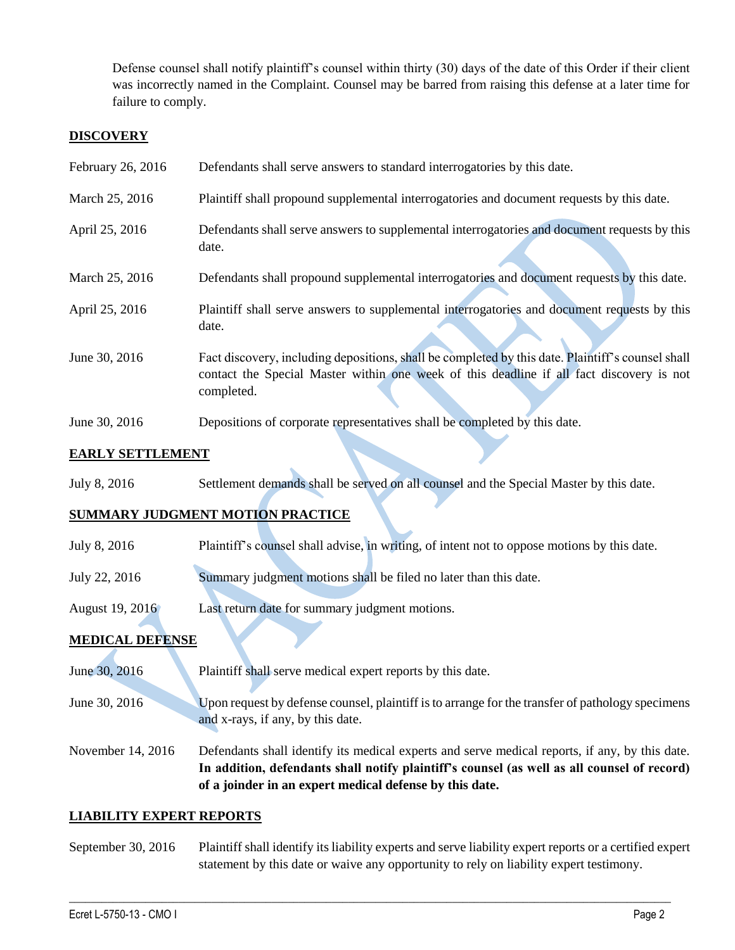Defense counsel shall notify plaintiff's counsel within thirty (30) days of the date of this Order if their client was incorrectly named in the Complaint. Counsel may be barred from raising this defense at a later time for failure to comply.

## **DISCOVERY**

| February 26, 2016 | Defendants shall serve answers to standard interrogatories by this date.                                                                                                                                    |
|-------------------|-------------------------------------------------------------------------------------------------------------------------------------------------------------------------------------------------------------|
| March 25, 2016    | Plaintiff shall propound supplemental interrogatories and document requests by this date.                                                                                                                   |
| April 25, 2016    | Defendants shall serve answers to supplemental interrogatories and document requests by this<br>date.                                                                                                       |
| March 25, 2016    | Defendants shall propound supplemental interrogatories and document requests by this date.                                                                                                                  |
| April 25, 2016    | Plaintiff shall serve answers to supplemental interrogatories and document requests by this<br>date.                                                                                                        |
| June 30, 2016     | Fact discovery, including depositions, shall be completed by this date. Plaintiff's counsel shall<br>contact the Special Master within one week of this deadline if all fact discovery is not<br>completed. |
| June 30, 2016     | Depositions of corporate representatives shall be completed by this date.                                                                                                                                   |

## **EARLY SETTLEMENT**

July 8, 2016 Settlement demands shall be served on all counsel and the Special Master by this date.

# **SUMMARY JUDGMENT MOTION PRACTICE**

- July 8, 2016 Plaintiff's counsel shall advise, in writing, of intent not to oppose motions by this date.
- July 22, 2016 Summary judgment motions shall be filed no later than this date.
- August 19, 2016 Last return date for summary judgment motions.

## **MEDICAL DEFENSE**

- June 30, 2016 Plaintiff shall serve medical expert reports by this date.
- June 30, 2016 Upon request by defense counsel, plaintiff is to arrange for the transfer of pathology specimens and x-rays, if any, by this date.

November 14, 2016 Defendants shall identify its medical experts and serve medical reports, if any, by this date. **In addition, defendants shall notify plaintiff's counsel (as well as all counsel of record) of a joinder in an expert medical defense by this date.**

## **LIABILITY EXPERT REPORTS**

September 30, 2016 Plaintiff shall identify its liability experts and serve liability expert reports or a certified expert statement by this date or waive any opportunity to rely on liability expert testimony.

 $\_$  , and the set of the set of the set of the set of the set of the set of the set of the set of the set of the set of the set of the set of the set of the set of the set of the set of the set of the set of the set of th